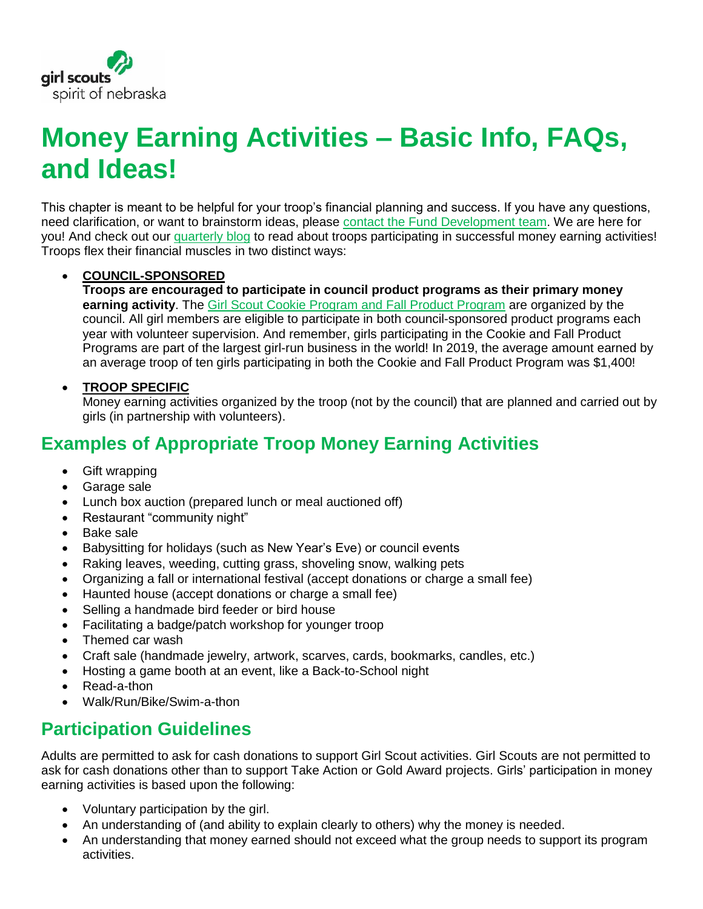

# **Money Earning Activities – Basic Info, FAQs, and Ideas!**

This chapter is meant to be helpful for your troop's financial planning and success. If you have any questions, need clarification, or want to brainstorm ideas, please [contact the Fund Development team.](mailto:givetogirls@girlscoutsnebraska.org) We are here for you! And check out our [quarterly blog](https://www.girlscoutsnebraska.org/en/about-us/blog.html) to read about troops participating in successful money earning activities! Troops flex their financial muscles in two distinct ways:

#### • **COUNCIL-SPONSORED**

**Troops are encouraged to participate in council product programs as their primary money earning activity**. The [Girl Scout Cookie Program](https://www.girlscoutsnebraska.org/en/cookies-nuts/cookies-nuts.html) and Fall Product Program are organized by the council. All girl members are eligible to participate in both council-sponsored product programs each year with volunteer supervision. And remember, girls participating in the Cookie and Fall Product Programs are part of the largest girl-run business in the world! In 2019, the average amount earned by an average troop of ten girls participating in both the Cookie and Fall Product Program was \$1,400!

#### • **TROOP SPECIFIC**

Money earning activities organized by the troop (not by the council) that are planned and carried out by girls (in partnership with volunteers).

### **Examples of Appropriate Troop Money Earning Activities**

- Gift wrapping
- Garage sale
- Lunch box auction (prepared lunch or meal auctioned off)
- Restaurant "community night"
- Bake sale
- Babysitting for holidays (such as New Year's Eve) or council events
- Raking leaves, weeding, cutting grass, shoveling snow, walking pets
- Organizing a fall or international festival (accept donations or charge a small fee)
- Haunted house (accept donations or charge a small fee)
- Selling a handmade bird feeder or bird house
- Facilitating a badge/patch workshop for younger troop
- Themed car wash
- Craft sale (handmade jewelry, artwork, scarves, cards, bookmarks, candles, etc.)
- Hosting a game booth at an event, like a Back-to-School night
- Read-a-thon
- Walk/Run/Bike/Swim-a-thon

## **Participation Guidelines**

Adults are permitted to ask for cash donations to support Girl Scout activities. Girl Scouts are not permitted to ask for cash donations other than to support Take Action or Gold Award projects. Girls' participation in money earning activities is based upon the following:

- Voluntary participation by the girl.
- An understanding of (and ability to explain clearly to others) why the money is needed.
- An understanding that money earned should not exceed what the group needs to support its program activities.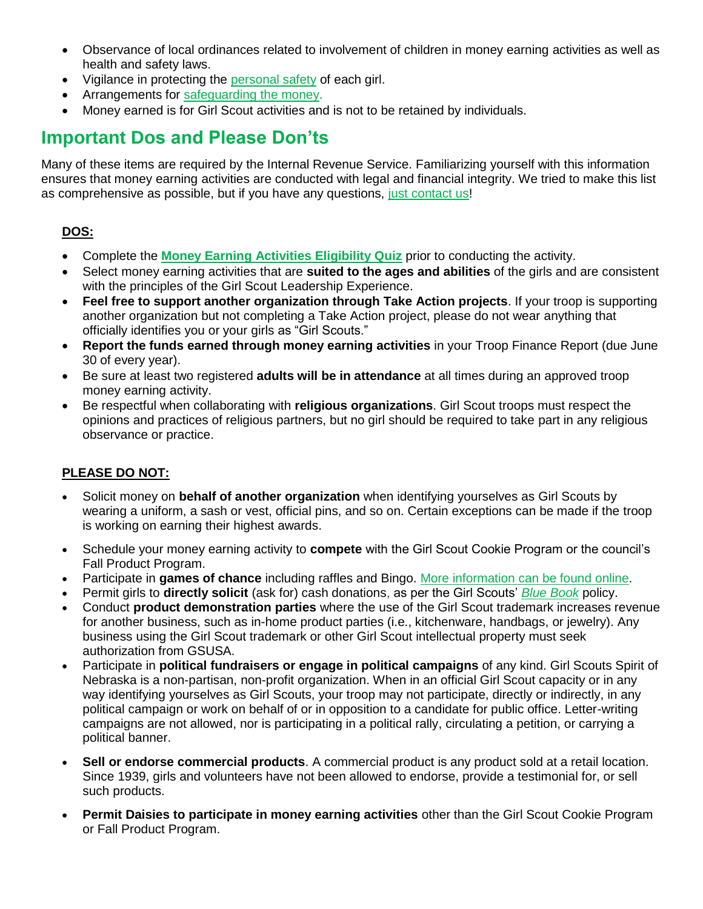- Observance of local ordinances related to involvement of children in money earning activities as well as health and safety laws.
- Vigilance in protecting the [personal safety](https://www.girlscoutsnebraska.org/en/volunteers/vol-resources/support-materials/safety-activity-checkpoints.html) of each girl.
- Arrangements for [safeguarding the money.](https://issuu.com/spiritofnebraska/docs/volunteer-guide/66)
- Money earned is for Girl Scout activities and is not to be retained by individuals.

### **Important Dos and Please Don'ts**

Many of these items are required by the Internal Revenue Service. Familiarizing yourself with this information ensures that money earning activities are conducted with legal and financial integrity. We tried to make this list as comprehensive as possible, but if you have any questions, [just contact us!](mailto:MemberSupport@girlscoutsnebraska.org)

### **DOS:**

- Complete the **[Money Earning Activities Eligibility Quiz](https://fs17.formsite.com/girlscoutsnebraska/3wjkflpyeb/index.html)** prior to conducting the activity.
- Select money earning activities that are **suited to the ages and abilities** of the girls and are consistent with the principles of the Girl Scout Leadership Experience.
- **Feel free to support another organization through Take Action projects**. If your troop is supporting another organization but not completing a Take Action project, please do not wear anything that officially identifies you or your girls as "Girl Scouts."
- **Report the funds earned through money earning activities** in your Troop Finance Report (due June 30 of every year).
- Be sure at least two registered **adults will be in attendance** at all times during an approved troop money earning activity.
- Be respectful when collaborating with **religious organizations**. Girl Scout troops must respect the opinions and practices of religious partners, but no girl should be required to take part in any religious observance or practice.

#### **PLEASE DO NOT:**

- Solicit money on **behalf of another organization** when identifying yourselves as Girl Scouts by wearing a uniform, a sash or vest, official pins, and so on. Certain exceptions can be made if the troop is working on earning their highest awards.
- Schedule your money earning activity to **compete** with the Girl Scout Cookie Program or the council's Fall Product Program.
- Participate in **games of chance** including raffles and Bingo. [More information can be found online.](http://www.revenue.nebraska.gov/gaming/regs/raffle_reg.html)
- Permit girls to **directly solicit** (ask for) cash donations, as per the Girl Scouts' *[Blue Book](https://www.girlscouts.org/content/dam/girlscouts-gsusa/forms-and-documents/about-girl-scouts/facts/GSUSA_BlueBook_Feb%202019-E.pdf)* policy.
- Conduct **product demonstration parties** where the use of the Girl Scout trademark increases revenue for another business, such as in-home product parties (i.e., kitchenware, handbags, or jewelry). Any business using the Girl Scout trademark or other Girl Scout intellectual property must seek authorization from GSUSA.
- Participate in **political fundraisers or engage in political campaigns** of any kind. Girl Scouts Spirit of Nebraska is a non-partisan, non-profit organization. When in an official Girl Scout capacity or in any way identifying yourselves as Girl Scouts, your troop may not participate, directly or indirectly, in any political campaign or work on behalf of or in opposition to a candidate for public office. Letter-writing campaigns are not allowed, nor is participating in a political rally, circulating a petition, or carrying a political banner.
- **Sell or endorse commercial products**. A commercial product is any product sold at a retail location. Since 1939, girls and volunteers have not been allowed to endorse, provide a testimonial for, or sell such products.
- **Permit Daisies to participate in money earning activities** other than the Girl Scout Cookie Program or Fall Product Program.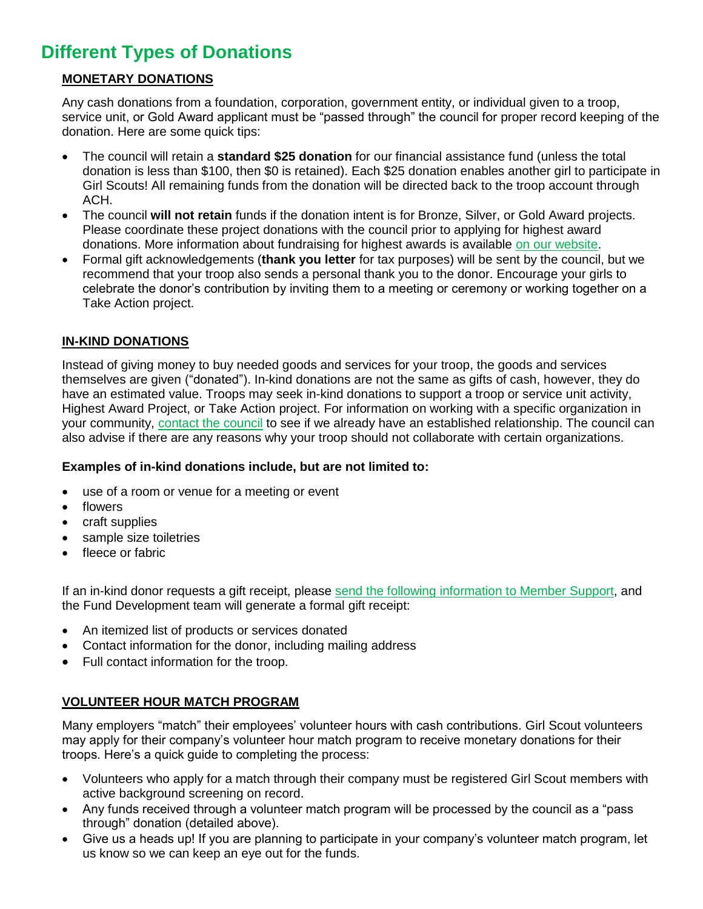# **Different Types of Donations**

### **MONETARY DONATIONS**

Any cash donations from a foundation, corporation, government entity, or individual given to a troop, service unit, or Gold Award applicant must be "passed through" the council for proper record keeping of the donation. Here are some quick tips:

- The council will retain a **standard \$25 donation** for our financial assistance fund (unless the total donation is less than \$100, then \$0 is retained). Each \$25 donation enables another girl to participate in Girl Scouts! All remaining funds from the donation will be directed back to the troop account through ACH.
- The council **will not retain** funds if the donation intent is for Bronze, Silver, or Gold Award projects. Please coordinate these project donations with the council prior to applying for highest award donations. More information about fundraising for highest awards is available [on our website.](•%09https:/www.girlscoutsnebraska.org/en/what-girl-scouts-do/highest-awards.html)
- Formal gift acknowledgements (**thank you letter** for tax purposes) will be sent by the council, but we recommend that your troop also sends a personal thank you to the donor. Encourage your girls to celebrate the donor's contribution by inviting them to a meeting or ceremony or working together on a Take Action project.

#### **IN-KIND DONATIONS**

Instead of giving money to buy needed goods and services for your troop, the goods and services themselves are given ("donated"). In-kind donations are not the same as gifts of cash, however, they do have an estimated value. Troops may seek in-kind donations to support a troop or service unit activity, Highest Award Project, or Take Action project. For information on working with a specific organization in your community, [contact the council](mailto:givetogirls@girlscoutsnebraska.org) to see if we already have an established relationship. The council can also advise if there are any reasons why your troop should not collaborate with certain organizations.

#### **Examples of in-kind donations include, but are not limited to:**

- use of a room or venue for a meeting or event
- flowers
- craft supplies
- sample size toiletries
- fleece or fabric

If an in-kind donor requests a gift receipt, please [send the following information to Member Support,](mailto:MemberSupport@girlscoutsnebraska.org) and the Fund Development team will generate a formal gift receipt:

- An itemized list of products or services donated
- Contact information for the donor, including mailing address
- Full contact information for the troop.

#### **VOLUNTEER HOUR MATCH PROGRAM**

Many employers "match" their employees' volunteer hours with cash contributions. Girl Scout volunteers may apply for their company's volunteer hour match program to receive monetary donations for their troops. Here's a quick guide to completing the process:

- Volunteers who apply for a match through their company must be registered Girl Scout members with active background screening on record.
- Any funds received through a volunteer match program will be processed by the council as a "pass through" donation (detailed above).
- Give us a heads up! If you are planning to participate in your company's volunteer match program, let us know so we can keep an eye out for the funds.